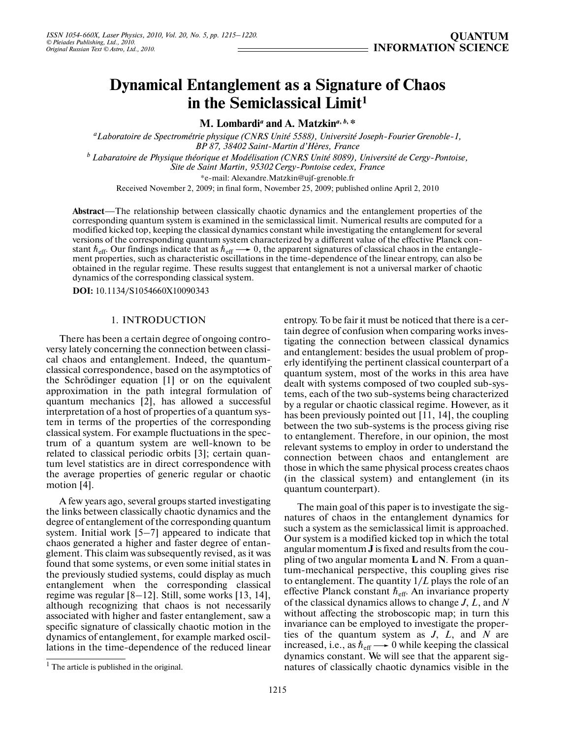# **Dynamical Entanglement as a Signature of Chaos in the Semiclassical Limit1**

**M. Lombardi***<sup>a</sup>*  **and A. Matzkin***<sup>a</sup>***,** *<sup>b</sup>***, \***

*a Laboratoire de Spectrométrie physique (CNRS Unité 5588), Université Joseph-Fourier Grenoble-1, BP 87, 38402 Saint-Martin d'Hères, France*

*b Labaratoire de Physique théorique et Modélisation (CNRS Unité 8089), Université de Cergy-Pontoise, Site de Saint Martin, 95302 Cergy-Pontoise cedex, France*

\*e-mail: Alexandre.Matzkin@ujf-grenoble.fr

Received November 2, 2009; in final form, November 25, 2009; published online April 2, 2010

**Abstract**—The relationship between classically chaotic dynamics and the entanglement properties of the corresponding quantum system is examined in the semiclassical limit. Numerical results are computed for a modified kicked top, keeping the classical dynamics constant while investigating the entanglement for several versions of the corresponding quantum system characterized by a different value of the effective Planck con stant  $\hbar_{\text{eff}}$ . Our findings indicate that as  $\hbar_{\text{eff}} \longrightarrow 0$ , the apparent signatures of classical chaos in the entanglement properties, such as characteristic oscillations in the time-dependence of the linear entropy obtained in the regular regime. These results suggest that entanglement is not a universal marker of chaotic dynamics of the corresponding classical system.

**DOI:** 10.1134/S1054660X10090343

## 1. INTRODUCTION

There has been a certain degree of ongoing contro versy lately concerning the connection between classi cal chaos and entanglement. Indeed, the quantum classical correspondence, based on the asymptotics of the Schrödinger equation [1] or on the equivalent approximation in the path integral formulation of quantum mechanics [2], has allowed a successful interpretation of a host of properties of a quantum sys tem in terms of the properties of the corresponding classical system. For example fluctuations in the spec trum of a quantum system are well-known to be related to classical periodic orbits [3]; certain quan tum level statistics are in direct correspondence with the average properties of generic regular or chaotic motion [4].

A few years ago, several groups started investigating the links between classically chaotic dynamics and the degree of entanglement of the corresponding quantum system. Initial work [5–7] appeared to indicate that chaos generated a higher and faster degree of entan glement. This claim was subsequently revised, as it was found that some systems, or even some initial states in the previously studied systems, could display as much entanglement when the corresponding classical regime was regular [8–12]. Still, some works [13, 14], although recognizing that chaos is not necessarily associated with higher and faster entanglement, saw a specific signature of classically chaotic motion in the dynamics of entanglement, for example marked oscil lations in the time-dependence of the reduced linear

entropy. To be fair it must be noticed that there is a cer tain degree of confusion when comparing works inves tigating the connection between classical dynamics and entanglement: besides the usual problem of prop erly identifying the pertinent classical counterpart of a quantum system, most of the works in this area have dealt with systems composed of two coupled sub-sys tems, each of the two sub-systems being characterized by a regular or chaotic classical regime. However, as it has been previously pointed out [11, 14], the coupling between the two sub-systems is the process giving rise to entanglement. Therefore, in our opinion, the most relevant systems to employ in order to understand the connection between chaos and entanglement are those in which the same physical process creates chaos (in the classical system) and entanglement (in its quantum counterpart).

The main goal of this paper is to investigate the sig natures of chaos in the entanglement dynamics for such a system as the semiclassical limit is approached. Our system is a modified kicked top in which the total angular momentum **J** is fixed and results from the cou pling of two angular momenta **L** and **N**. From a quan tum-mechanical perspective, this coupling gives rise to entanglement. The quantity 1/*L* plays the role of an effective Planck constant  $h_{\text{eff}}$ . An invariance property of the classical dynamics allows to change *J*, *L*, and *N* without affecting the stroboscopic map; in turn this invariance can be employed to investigate the proper ties of the quantum system as *J*, *L*, and *N* are increased, i.e., as  $\hbar_{\text{eff}} \longrightarrow 0$  while keeping the classical dynamics constant. We will see that the apparent sig natures of classically chaotic dynamics visible in the

 $<sup>1</sup>$  The article is published in the original.</sup>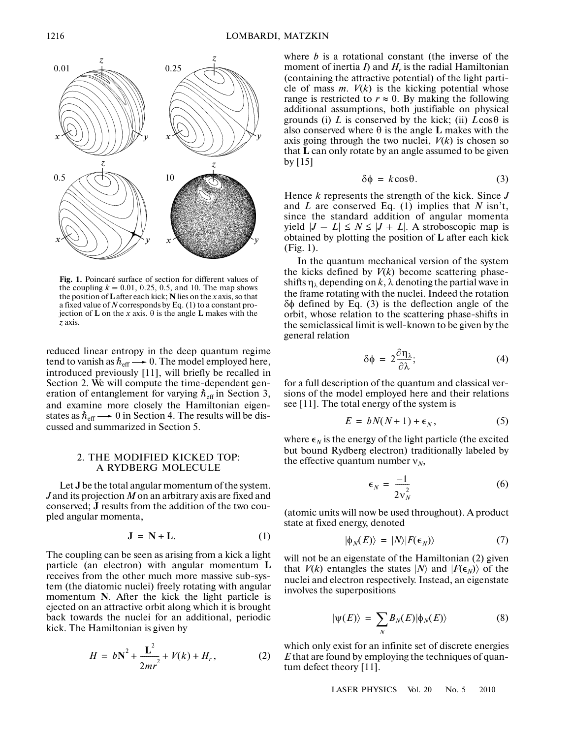

**Fig. 1.** Poincaré surface of section for different values of the coupling  $k = 0.01, 0.25, 0.5,$  and 10. The map shows the position of **L** after each kick; **N** lies on the *x* axis, so that a fixed value of *N* corresponds by Eq. (1) to a constant pro jection of **L** on the *x* axis. θ is the angle **L** makes with the *z* axis.

reduced linear entropy in the deep quantum regime tend to vanish as  $\hbar_{\text{eff}} \longrightarrow 0$ . The model employed here, introduced previously [11], will briefly be recalled in Section 2. We will compute the time-dependent gen eration of entanglement for varying  $\hbar$ <sub>eff</sub> in Section 3, and examine more closely the Hamiltonian eigen states as  $\hbar_{\text{eff}} \longrightarrow 0$  in Section 4. The results will be discussed and summarized in Section 5.

## 2. THE MODIFIED KICKED TOP: A RYDBERG MOLECULE

Let **J** be the total angular momentum of the system. *J* and its projection *M* on an arbitrary axis are fixed and conserved; **J** results from the addition of the two cou pled angular momenta,

$$
\mathbf{J} = \mathbf{N} + \mathbf{L}.\tag{1}
$$

The coupling can be seen as arising from a kick a light particle (an electron) with angular momentum **L** receives from the other much more massive sub-sys tem (the diatomic nuclei) freely rotating with angular momentum **N**. After the kick the light particle is ejected on an attractive orbit along which it is brought back towards the nuclei for an additional, periodic kick. The Hamiltonian is given by

$$
H = bN^{2} + \frac{L^{2}}{2mr^{2}} + V(k) + H_{r},
$$
 (2)

where *b* is a rotational constant (the inverse of the moment of inertia  $I$ ) and  $H_r$  is the radial Hamiltonian (containing the attractive potential) of the light parti cle of mass  $m$ .  $V(k)$  is the kicking potential whose range is restricted to  $r \approx 0$ . By making the following additional assumptions, both justifiable on physical grounds (i) *L* is conserved by the kick; (ii)  $L\cos\theta$  is also conserved where θ is the angle **L** makes with the axis going through the two nuclei,  $V(k)$  is chosen so that **L** can only rotate by an angle assumed to be given by [15]

$$
\delta \phi = k \cos \theta. \tag{3}
$$

Hence *k* represents the strength of the kick. Since *J* and *L* are conserved Eq. (1) implies that *N* isn't, since the standard addition of angular momenta yield  $|J - L| \le N \le |J + L|$ . A stroboscopic map is obtained by plotting the position of **L** after each kick (Fig. 1).

In the quantum mechanical version of the system the kicks defined by  $V(k)$  become scattering phaseshifts  $\eta_{\lambda}$  depending on k,  $\lambda$  denoting the partial wave in the frame rotating with the nuclei. Indeed the rotation δφ defined by Eq. (3) is the deflection angle of the orbit, whose relation to the scattering phase-shifts in the semiclassical limit is well-known to be given by the general relation

$$
\delta \phi = 2 \frac{\partial \eta_{\lambda}}{\partial \lambda};\tag{4}
$$

for a full description of the quantum and classical ver sions of the model employed here and their relations see [11]. The total energy of the system is

$$
E = bN(N+1) + \epsilon_N, \tag{5}
$$

where  $\epsilon_N$  is the energy of the light particle (the excited but bound Rydberg electron) traditionally labeled by the effective quantum number  $v_N$ ,

$$
\epsilon_N = \frac{-1}{2v_N^2} \tag{6}
$$

(atomic units will now be used throughout). A product state at fixed energy, denoted

$$
|\phi_{N}(E)\rangle = |N\rangle|F(\epsilon_{N})\rangle \tag{7}
$$

will not be an eigenstate of the Hamiltonian  $(2)$  given that *V*(*k*) entangles the states  $|N\rangle$  and  $|F(\epsilon_N)\rangle$  of the nuclei and electron respectively. Instead, an eigenstate involves the superpositions

$$
|\psi(E)\rangle = \sum_{N} B_{N}(E) |\phi_{N}(E)\rangle \tag{8}
$$

which only exist for an infinite set of discrete energies *E* that are found by employing the techniques of quan tum defect theory [11].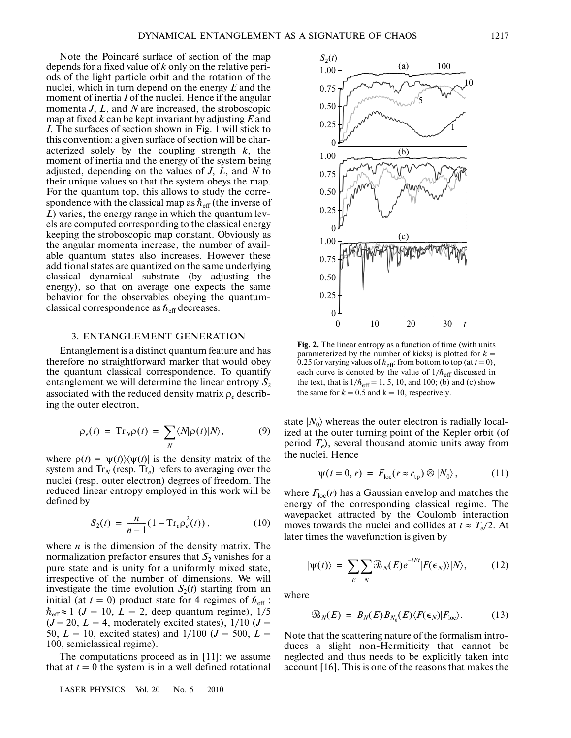Note the Poincaré surface of section of the map depends for a fixed value of *k* only on the relative peri ods of the light particle orbit and the rotation of the nuclei, which in turn depend on the energy *E* and the moment of inertia *I* of the nuclei. Hence if the angular momenta *J*, *L*, and *N* are increased, the stroboscopic map at fixed *k* can be kept invariant by adjusting *E* and *I*. The surfaces of section shown in Fig. 1 will stick to this convention: a given surface of section will be char acterized solely by the coupling strength *k*, the moment of inertia and the energy of the system being adjusted, depending on the values of *J*, *L*, and *N* to their unique values so that the system obeys the map. For the quantum top, this allows to study the corre spondence with the classical map as  $\hbar_{\text{eff}}$  (the inverse of *L*) varies, the energy range in which the quantum lev els are computed corresponding to the classical energy keeping the stroboscopic map constant. Obviously as the angular momenta increase, the number of avail able quantum states also increases. However these additional states are quantized on the same underlying classical dynamical substrate (by adjusting the energy), so that on average one expects the same behavior for the observables obeying the quantum classical correspondence as  $\hbar_{\text{eff}}$  decreases.

#### 3. ENTANGLEMENT GENERATION

Entanglement is a distinct quantum feature and has therefore no straightforward marker that would obey the quantum classical correspondence. To quantify entanglement we will determine the linear entropy  $S_2$ associated with the reduced density matrix ρ*e* describ ing the outer electron,

$$
\rho_e(t) = \mathrm{Tr}_N \rho(t) = \sum_N \langle N | \rho(t) | N \rangle, \tag{9}
$$

where  $\rho(t) = |\psi(t)\rangle\langle \psi(t)|$  is the density matrix of the system and  $Tr_N$  (resp.  $Tr_e$ ) refers to averaging over the nuclei (resp. outer electron) degrees of freedom. The reduced linear entropy employed in this work will be defined by

$$
S_2(t) = \frac{n}{n-1} (1 - \text{Tr}_e \rho_e^2(t)), \qquad (10)
$$

where *n* is the dimension of the density matrix. The normalization prefactor ensures that  $S<sub>2</sub>$  vanishes for a pure state and is unity for a uniformly mixed state, irrespective of the number of dimensions. We will investigate the time evolution  $S_2(t)$  starting from an initial (at  $t = 0$ ) product state for 4 regimes of  $h_{\text{eff}}$ :  $\hbar_{\text{eff}} \approx 1$  (*J* = 10, *L* = 2, deep quantum regime), 1/5  $(J = 20, L = 4$ , moderately excited states),  $1/10$   $(J =$ 50,  $L = 10$ , excited states) and  $1/100$  ( $J = 500$ ,  $L =$ 100, semiclassical regime).

The computations proceed as in [11]: we assume that at  $t = 0$  the system is in a well defined rotational

LASER PHYSICS Vol. 20 No. 5 2010



**Fig. 2.** The linear entropy as a function of time (with units parameterized by the number of kicks) is plotted for  $k =$ 0.25 for varying values of  $\hbar$ <sub>eff</sub>: from bottom to top (at *t* = 0), each curve is denoted by the value of  $1/\hbar$ <sub>eff</sub> discussed in the text, that is  $1/\hbar_{\text{eff}} = 1, 5, 10, \text{ and } 100$ ; (b) and (c) show the same for  $k = 0.5$  and  $k = 10$ , respectively.

state  $|N_0\rangle$  whereas the outer electron is radially localized at the outer turning point of the Kepler orbit (of period  $T_e$ ), several thousand atomic units away from the nuclei. Hence

$$
\psi(t=0,r) = F_{\text{loc}}(r \approx r_{\text{tp}}) \otimes |N_0\rangle, \qquad (11)
$$

where  $F_{\text{loc}}(r)$  has a Gaussian envelop and matches the energy of the corresponding classical regime. The wavepacket attracted by the Coulomb interaction moves towards the nuclei and collides at  $t \approx T_e/2$ . At later times the wavefunction is given by

$$
|\psi(t)\rangle = \sum_{E} \sum_{N} \mathcal{B}_{N}(E) e^{-iEt} |F(\epsilon_{N})\rangle |N\rangle, \qquad (12)
$$

where

$$
\mathcal{B}_N(E) = B_N(E) B_{N_0}(E) \langle F(\epsilon_N) | F_{\text{loc}} \rangle. \tag{13}
$$

Note that the scattering nature of the formalism intro duces a slight non-Hermiticity that cannot be neglected and thus needs to be explicitly taken into account [16]. This is one of the reasons that makes the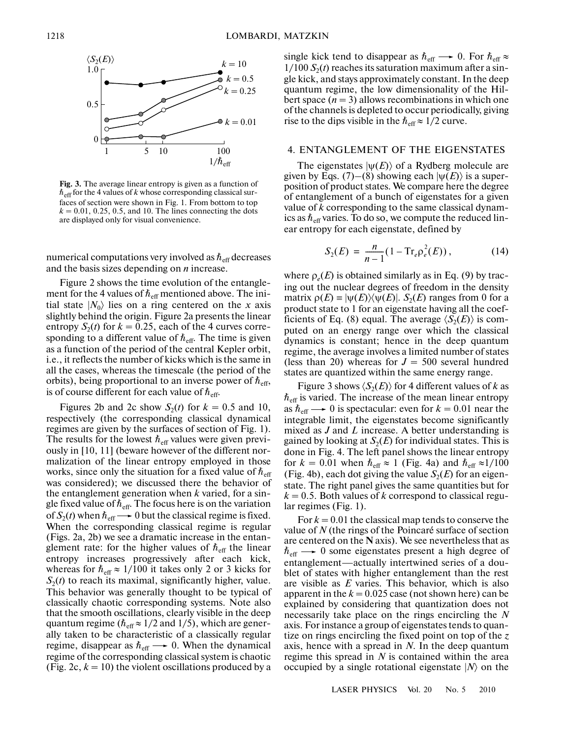

**Fig. 3.** The average linear entropy is given as a function of  $\hbar_{\mathrm{eff}}$  for the 4 values of  $k$  whose corresponding classical surfaces of section were shown in Fig. 1. From bottom to top  $k = 0.01, 0.25, 0.5,$  and 10. The lines connecting the dots are displayed only for visual convenience.

numerical computations very involved as  $\hbar_{\mathrm{eff}}$  decreases and the basis sizes depending on *n* increase.

Figure 2 shows the time evolution of the entangle ment for the 4 values of  $\hbar_{\text{eff}}$  mentioned above. The initial state  $|N_0\rangle$  lies on a ring centered on the *x* axis slightly behind the origin. Figure 2a presents the linear entropy  $S_2(t)$  for  $k = 0.25$ , each of the 4 curves corresponding to a different value of  $h_{\text{eff}}$ . The time is given as a function of the period of the central Kepler orbit, i.e., it reflects the number of kicks which is the same in all the cases, whereas the timescale (the period of the orbits), being proportional to an inverse power of  $h_{\text{eff}}$ , is of course different for each value of  $\hbar_{\textrm{eff}}$ .

Figures 2b and 2c show  $S_2(t)$  for  $k = 0.5$  and 10, respectively (the corresponding classical dynamical regimes are given by the surfaces of section of Fig. 1). The results for the lowest  $\hbar_{\text{eff}}$  values were given previously in [10, 11] (beware however of the different nor malization of the linear entropy employed in those works, since only the situation for a fixed value of  $\hbar_{\text{eff}}$ was considered); we discussed there the behavior of the entanglement generation when *k* varied, for a sin gle fixed value of  $\hbar_{\mathrm{eff}}$ . The focus here is on the variation of  $S_2(t)$  when  $\hbar_{\text{eff}} \longrightarrow 0$  but the classical regime is fixed. When the corresponding classical regime is regular (Figs. 2a, 2b) we see a dramatic increase in the entan glement rate: for the higher values of  $h_{\text{eff}}$  the linear entropy increases progressively after each kick, whereas for  $\hbar_{\text{eff}} \approx 1/100$  it takes only 2 or 3 kicks for  $S_2(t)$  to reach its maximal, significantly higher, value. This behavior was generally thought to be typical of classically chaotic corresponding systems. Note also that the smooth oscillations, clearly visible in the deep quantum regime ( $\hbar_{\text{eff}} \approx 1/2$  and 1/5), which are generally taken to be characteristic of a classically regular regime, disappear as  $\hbar_{\text{eff}} \longrightarrow 0$ . When the dynamical regime of the corresponding classical system is chaotic (Fig. 2c,  $k = 10$ ) the violent oscillations produced by a

single kick tend to disappear as  $\hbar_{\text{eff}} \longrightarrow 0$ . For  $\hbar_{\text{eff}} \approx$  $1/100 S<sub>2</sub>(t)$  reaches its saturation maximum after a single kick, and stays approximately constant. In the deep quantum regime, the low dimensionality of the Hil bert space  $(n = 3)$  allows recombinations in which one of the channels is depleted to occur periodically, giving rise to the dips visible in the  $\hbar_{\text{eff}} \approx 1/2$  curve.

## 4. ENTANGLEMENT OF THE EIGENSTATES

The eigenstates  $|\psi(E)\rangle$  of a Rydberg molecule are given by Eqs. (7)–(8) showing each  $|\psi(E)\rangle$  is a superposition of product states. We compare here the degree of entanglement of a bunch of eigenstates for a given value of *k* corresponding to the same classical dynam ics as  $\hbar_{\mathrm{eff}}$  varies. To do so, we compute the reduced linear entropy for each eigenstate, defined by

$$
S_2(E) = \frac{n}{n-1} (1 - \text{Tr}_e \rho_e^2(E)), \qquad (14)
$$

where  $\rho_e(E)$  is obtained similarly as in Eq. (9) by tracing out the nuclear degrees of freedom in the density matrix  $\rho(E) \equiv |\psi(E)\rangle \langle \psi(E)|$ . *S*<sub>2</sub>(*E*) ranges from 0 for a product state to 1 for an eigenstate having all the coef ficients of Eq. (8) equal. The average  $\langle S_2(E) \rangle$  is computed on an energy range over which the classical dynamics is constant; hence in the deep quantum regime, the average involves a limited number of states (less than 20) whereas for  $J = 500$  several hundred states are quantized within the same energy range.

Figure 3 shows  $\langle S_2(E) \rangle$  for 4 different values of *k* as  $\hbar_{\mathrm{eff}}$  is varied. The increase of the mean linear entropy as  $\hbar_{\text{eff}} \longrightarrow 0$  is spectacular: even for  $k = 0.01$  near the integrable limit, the eigenstates become significantly mixed as *J* and *L* increase. A better understanding is gained by looking at  $S_2(E)$  for individual states. This is done in Fig. 4. The left panel shows the linear entropy for  $k = 0.01$  when  $\hbar_{\text{eff}} \approx 1$  (Fig. 4a) and  $\hbar_{\text{eff}} \approx 1/100$ (Fig. 4b), each dot giving the value  $S_2(E)$  for an eigenstate. The right panel gives the same quantities but for  $k = 0.5$ . Both values of  $k$  correspond to classical regular regimes (Fig. 1).

For  $k = 0.01$  the classical map tends to conserve the value of *N* (the rings of the Poincaré surface of section are centered on the **N** axis). We see nevertheless that as  $h_{\text{eff}} \longrightarrow 0$  some eigenstates present a high degree of entanglement—actually intertwined series of a dou blet of states with higher entanglement than the rest are visible as *E* varies. This behavior, which is also apparent in the  $k = 0.025$  case (not shown here) can be explained by considering that quantization does not necessarily take place on the rings encircling the *N* axis. For instance a group of eigenstates tends to quan tize on rings encircling the fixed point on top of the *z* axis, hence with a spread in *N*. In the deep quantum regime this spread in *N* is contained within the area occupied by a single rotational eigenstate  $|N\rangle$  on the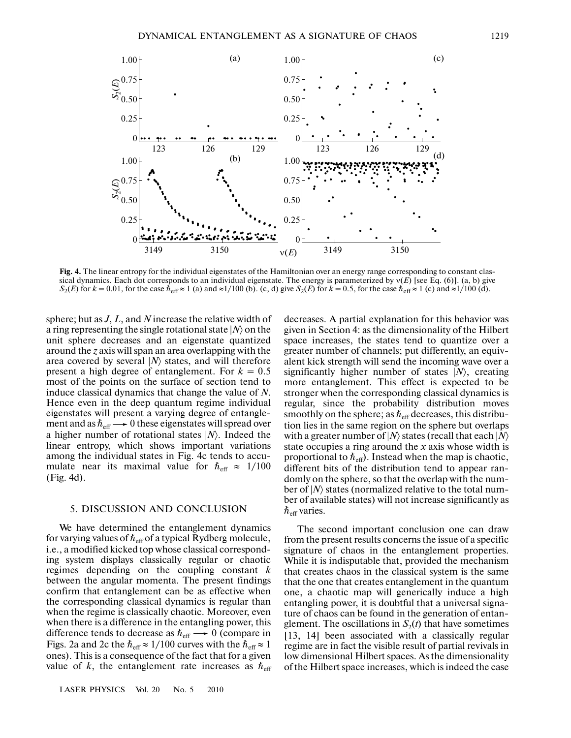

**Fig. 4.** The linear entropy for the individual eigenstates of the Hamiltonian over an energy range corresponding to constant clas sical dynamics. Each dot corresponds to an individual eigenstate. The energy is parameterized by ν(*E*) [see Eq. (6)]. (a, b) give  $S_2(E)$  for  $k = 0.01$ , for the case  $\vec{h}_{\text{eff}} \approx 1$  (a) and  $\approx 1/100$  (b). (c, d) give  $S_2(E)$  for  $k = 0.5$ , for the case  $\vec{h}_{\text{eff}} \approx 1$  (c) and  $\approx 1/100$  (d).

sphere; but as *J*, *L*, and *N* increase the relative width of a ring representing the single rotational state  $|N\rangle$  on the unit sphere decreases and an eigenstate quantized around the *z* axis will span an area overlapping with the area covered by several |*N*〉 states, and will therefore present a high degree of entanglement. For  $k = 0.5$ most of the points on the surface of section tend to induce classical dynamics that change the value of *N*. Hence even in the deep quantum regime individual eigenstates will present a varying degree of entangle ment and as  $\hbar_{\text{eff}} \longrightarrow 0$  these eigenstates will spread over a higher number of rotational states |*N*〉. Indeed the linear entropy, which shows important variations among the individual states in Fig. 4c tends to accu mulate near its maximal value for  $\hbar_{\text{eff}} \approx 1/100$ (Fig. 4d).

#### 5. DISCUSSION AND CONCLUSION

We have determined the entanglement dynamics for varying values of  $\hbar_{\text{eff}}$  of a typical Rydberg molecule, i.e., a modified kicked top whose classical correspond ing system displays classically regular or chaotic regimes depending on the coupling constant *k* between the angular momenta. The present findings confirm that entanglement can be as effective when the corresponding classical dynamics is regular than when the regime is classically chaotic. Moreover, even when there is a difference in the entangling power, this difference tends to decrease as  $\hbar_{\text{eff}} \longrightarrow 0$  (compare in Figs. 2a and 2c the  $\hbar_{\text{eff}} \approx 1/100$  curves with the  $\hbar_{\text{eff}} \approx 1$ ones). This is a consequence of the fact that for a given value of *k*, the entanglement rate increases as  $h_{\text{eff}}$ 

decreases. A partial explanation for this behavior was given in Section 4: as the dimensionality of the Hilbert space increases, the states tend to quantize over a greater number of channels; put differently, an equiv alent kick strength will send the incoming wave over a significantly higher number of states |*N*〉, creating more entanglement. This effect is expected to be stronger when the corresponding classical dynamics is regular, since the probability distribution moves smoothly on the sphere; as  $\hbar_{\mathrm{eff}}$  decreases, this distribution lies in the same region on the sphere but overlaps with a greater number of |*N*〉 states (recall that each |*N*〉 state occupies a ring around the *x* axis whose width is proportional to  $\hbar_{\text{eff}}$ ). Instead when the map is chaotic, different bits of the distribution tend to appear ran domly on the sphere, so that the overlap with the num ber of |*N*〉 states (normalized relative to the total num ber of available states) will not increase significantly as  $\hbar_{\mathrm{eff}}$  varies.

The second important conclusion one can draw from the present results concerns the issue of a specific signature of chaos in the entanglement properties. While it is indisputable that, provided the mechanism that creates chaos in the classical system is the same that the one that creates entanglement in the quantum one, a chaotic map will generically induce a high entangling power, it is doubtful that a universal signa ture of chaos can be found in the generation of entan glement. The oscillations in  $S_2(t)$  that have sometimes [13, 14] been associated with a classically regular regime are in fact the visible result of partial revivals in low dimensional Hilbert spaces. As the dimensionality of the Hilbert space increases, which is indeed the case